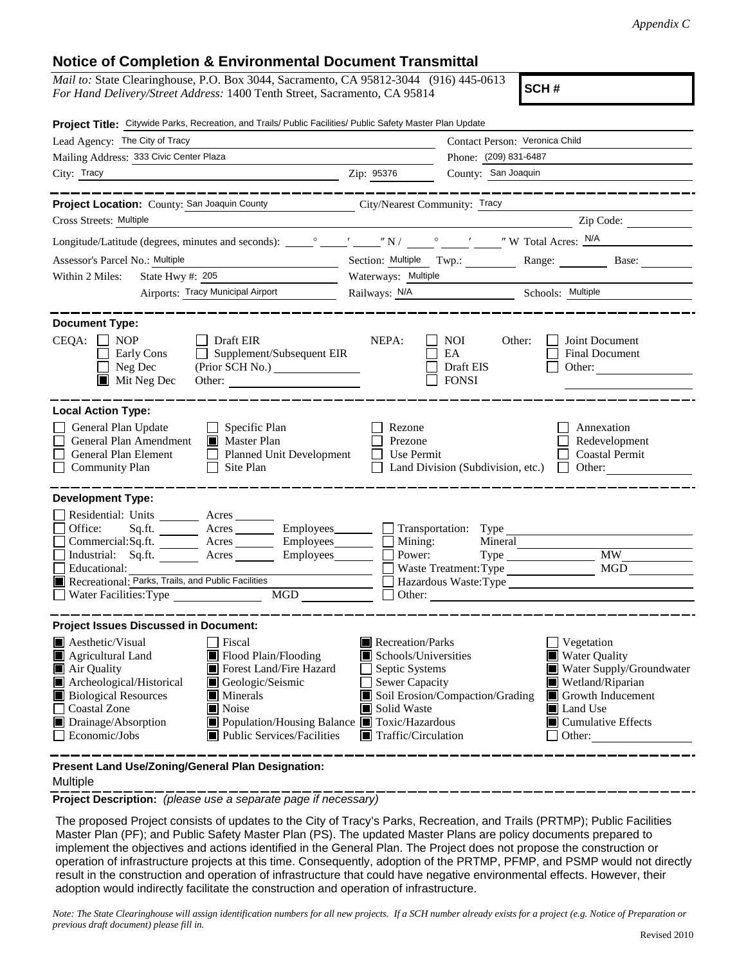## **Notice of Completion & Environmental Document Transmittal**

| <i>Mail to:</i> State Clearinghouse, P.O. Box 3044, Sacramento, CA 95812-3044 (916) 445-0613 |  |
|----------------------------------------------------------------------------------------------|--|
| <i>For Hand Delivery/Street Address:</i> 1400 Tenth Street, Sacramento, CA 95814             |  |

**SCH #**

|                                                                                                                                                                                       | Project Title: Citywide Parks, Recreation, and Trails/ Public Facilities/ Public Safety Master Plan Update                                                                                                                                                                                          |                                                                                                                                   |                                                                    |                                                                                                                                                                                  |  |  |  |
|---------------------------------------------------------------------------------------------------------------------------------------------------------------------------------------|-----------------------------------------------------------------------------------------------------------------------------------------------------------------------------------------------------------------------------------------------------------------------------------------------------|-----------------------------------------------------------------------------------------------------------------------------------|--------------------------------------------------------------------|----------------------------------------------------------------------------------------------------------------------------------------------------------------------------------|--|--|--|
| Lead Agency: The City of Tracy                                                                                                                                                        |                                                                                                                                                                                                                                                                                                     | Contact Person: Veronica Child                                                                                                    |                                                                    |                                                                                                                                                                                  |  |  |  |
| Mailing Address: 333 Civic Center Plaza                                                                                                                                               | Phone: (209) 831-6487                                                                                                                                                                                                                                                                               |                                                                                                                                   |                                                                    |                                                                                                                                                                                  |  |  |  |
| City: Tracy                                                                                                                                                                           | <u> 1989 - Johann Barbara, martin amerikan basar dan berasal dalam basar dalam basar dalam basar dalam basar dala</u>                                                                                                                                                                               | Zip: 95376                                                                                                                        | County: San Joaquin                                                |                                                                                                                                                                                  |  |  |  |
|                                                                                                                                                                                       |                                                                                                                                                                                                                                                                                                     |                                                                                                                                   |                                                                    | -------------------                                                                                                                                                              |  |  |  |
|                                                                                                                                                                                       | Project Location: County: San Joaquin County City/Nearest Community: Tracy                                                                                                                                                                                                                          |                                                                                                                                   |                                                                    |                                                                                                                                                                                  |  |  |  |
| Cross Streets: Multiple                                                                                                                                                               |                                                                                                                                                                                                                                                                                                     |                                                                                                                                   | <u> 1989 - Jan Samuel Barbara, margaret eta idazlea (h. 1989).</u> | Zip Code:                                                                                                                                                                        |  |  |  |
|                                                                                                                                                                                       |                                                                                                                                                                                                                                                                                                     |                                                                                                                                   |                                                                    |                                                                                                                                                                                  |  |  |  |
| Assessor's Parcel No.: Multiple                                                                                                                                                       |                                                                                                                                                                                                                                                                                                     | Section: Multiple Twp.: ________ Range: _______                                                                                   | Base: $\qquad \qquad$                                              |                                                                                                                                                                                  |  |  |  |
| Within 2 Miles:                                                                                                                                                                       | <u> 1989 - Johann Barbara, martxa al</u><br>State Hwy #: $205$                                                                                                                                                                                                                                      | Waterways: Multiple                                                                                                               |                                                                    |                                                                                                                                                                                  |  |  |  |
|                                                                                                                                                                                       | Airports: Tracy Municipal Airport                                                                                                                                                                                                                                                                   | Railways: N/A Schools: Multiple                                                                                                   |                                                                    |                                                                                                                                                                                  |  |  |  |
| <b>Document Type:</b><br>$CEQA: \Box NP$<br>Early Cons<br>$\Box$ Neg Dec<br>$\blacksquare$ Mit Neg Dec                                                                                | $\Box$ Draft EIR<br>$\Box$ Supplement/Subsequent EIR<br>Other:                                                                                                                                                                                                                                      | NEPA:                                                                                                                             | NOI<br>Other:<br>EA<br>Draft EIS<br><b>FONSI</b>                   | Joint Document<br>Final Document<br>Other:                                                                                                                                       |  |  |  |
| <b>Local Action Type:</b><br>General Plan Update<br>General Plan Amendment<br>General Plan Element<br><b>Community Plan</b>                                                           | $\Box$ Specific Plan<br>Master Plan<br>Planned Unit Development<br>$\Box$ Site Plan                                                                                                                                                                                                                 | Rezone<br>Prezone<br>$\Box$ Use Permit                                                                                            |                                                                    | Annexation<br>Redevelopment<br><b>Coastal Permit</b><br>Land Division (Subdivision, etc.) $\Box$ Other:                                                                          |  |  |  |
| <b>Development Type:</b>                                                                                                                                                              |                                                                                                                                                                                                                                                                                                     |                                                                                                                                   |                                                                    |                                                                                                                                                                                  |  |  |  |
| Residential: Units ________ Acres ______<br>Office:<br>Educational:<br>Recreational: Parks, Trails, and Public Facilities<br>Water Facilities: Type                                   | Sq.ft. ________ Acres _________ Employees _______ __ Transportation: Type _________________________<br>$Commercial:Sq.fit.$ $\overline{\qquad}$ Acres $\overline{\qquad}$ Employees $\overline{\qquad}$ Mining:<br>Industrial: Sq.ft. ________ Acres _________ Employees ________ $\Box$<br>MGD NGD | Power:<br>$\Box$                                                                                                                  | Mineral<br>Waste Treatment: Type                                   | Hazardous Waste:Type                                                                                                                                                             |  |  |  |
| <b>Project Issues Discussed in Document:</b>                                                                                                                                          |                                                                                                                                                                                                                                                                                                     |                                                                                                                                   |                                                                    |                                                                                                                                                                                  |  |  |  |
| <b>Aesthetic/Visual</b><br>Agricultural Land<br>Air Quality<br>Archeological/Historical<br><b>Biological Resources</b><br><b>Coastal Zone</b><br>Drainage/Absorption<br>Economic/Jobs | Fiscal<br>Flood Plain/Flooding<br>Forest Land/Fire Hazard<br>Geologic/Seismic<br>$\blacksquare$ Minerals<br>Noise<br>Population/Housing Balance <b>T</b> Toxic/Hazardous<br>■ Public Services/Facilities                                                                                            | Recreation/Parks<br>Schools/Universities<br>Septic Systems<br>Sewer Capacity<br>Solid Waste<br>$\blacksquare$ Traffic/Circulation | Soil Erosion/Compaction/Grading                                    | Vegetation<br><b>Water Quality</b><br>Water Supply/Groundwater<br>Wetland/Riparian<br>Growth Inducement<br>ш<br><b>I</b> Land Use<br>$\blacksquare$ Cumulative Effects<br>Other: |  |  |  |
| Present Land Use/Zoning/General Plan Designation:                                                                                                                                     |                                                                                                                                                                                                                                                                                                     |                                                                                                                                   |                                                                    |                                                                                                                                                                                  |  |  |  |

## Multiple

**Project Description:** *(please use a separate page if necessary)*

 The proposed Project consists of updates to the City of Tracy's Parks, Recreation, and Trails (PRTMP); Public Facilities Master Plan (PF); and Public Safety Master Plan (PS). The updated Master Plans are policy documents prepared to implement the objectives and actions identified in the General Plan. The Project does not propose the construction or operation of infrastructure projects at this time. Consequently, adoption of the PRTMP, PFMP, and PSMP would not directly result in the construction and operation of infrastructure that could have negative environmental effects. However, their adoption would indirectly facilitate the construction and operation of infrastructure.

*Note: The State Clearinghouse will assign identification numbers for all new projects. If a SCH number already exists for a project (e.g. Notice of Preparation or previous draft document) please fill in.*